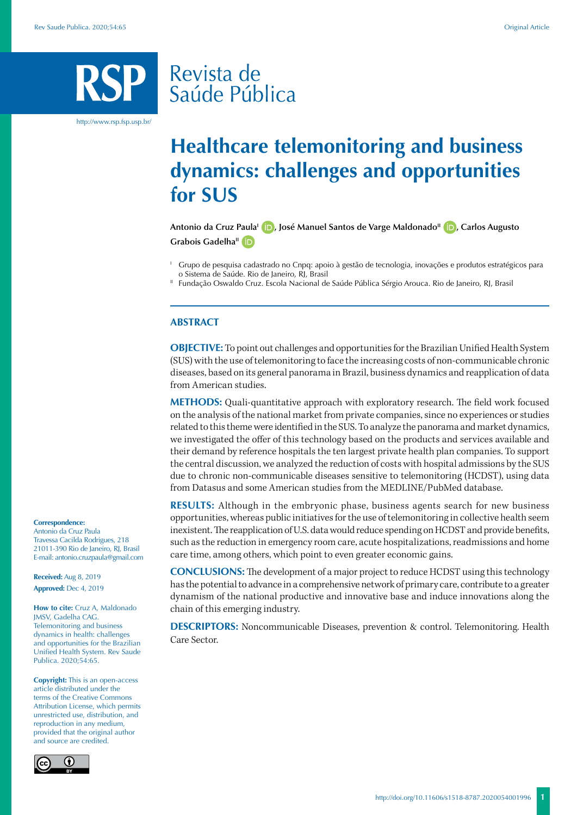# Revista de Saúde Pública

http://www.rsp.fsp.usp.br/

# **Healthcare telemonitoring and business dynamics: challenges and opportunities for SUS**

Antonio da Cruz Paula<sup>1</sup> **D**[,](https://orcid.org/0000-0002-0815-1765) José Manuel Santos de Varge Maldonado<sup>II</sup> **D**, Carlos Augusto Grabois Gadelha<sup>11</sup> (D

<sup>I</sup> Grupo de pesquisa cadastrado no Cnpq: apoio à gestão de tecnologia, inovações e produtos estratégicos para o Sistema de Saúde. Rio de Janeiro, RJ, Brasil

<sup>II</sup> Fundação Oswaldo Cruz. Escola Nacional de Saúde Pública Sérgio Arouca. Rio de Janeiro, RJ, Brasil

#### **ABSTRACT**

**OBJECTIVE:** To point out challenges and opportunities for the Brazilian Unified Health System (SUS) with the use of telemonitoring to face the increasing costs of non-communicable chronic diseases, based on its general panorama in Brazil, business dynamics and reapplication of data from American studies.

**METHODS:** Quali-quantitative approach with exploratory research. The field work focused on the analysis of the national market from private companies, since no experiences or studies related to this theme were identified in the SUS. To analyze the panorama and market dynamics, we investigated the offer of this technology based on the products and services available and their demand by reference hospitals the ten largest private health plan companies. To support the central discussion, we analyzed the reduction of costs with hospital admissions by the SUS due to chronic non-communicable diseases sensitive to telemonitoring (HCDST), using data from Datasus and some American studies from the MEDLINE/PubMed database.

**RESULTS:** Although in the embryonic phase, business agents search for new business opportunities, whereas public initiatives for the use of telemonitoring in collective health seem inexistent. The reapplication of U.S. data would reduce spending on HCDST and provide benefits, such as the reduction in emergency room care, acute hospitalizations, readmissions and home care time, among others, which point to even greater economic gains.

**CONCLUSIONS:** The development of a major project to reduce HCDST using this technology has the potential to advance in a comprehensive network of primary care, contribute to a greater dynamism of the national productive and innovative base and induce innovations along the chain of this emerging industry.

**DESCRIPTORS:** Noncommunicable Diseases, prevention & control. Telemonitoring. Health Care Sector.

#### **Correspondence:**

Antonio da Cruz Paula Travessa Cacilda Rodrigues, 218 21011-390 Rio de Janeiro, RJ, Brasil E-mail: antonio.cruzpaula@gmail.com

**Received:** Aug 8, 2019 **Approved:** Dec 4, 2019

**How to cite:** Cruz A, Maldonado JMSV, Gadelha CAG. Telemonitoring and business dynamics in health: challenges and opportunities for the Brazilian Unified Health System. Rev Saude Publica. 2020;54:65.

**Copyright:** This is an open-access article distributed under the terms of the Creative Commons Attribution License, which permits unrestricted use, distribution, and reproduction in any medium, provided that the original author and source are credited.

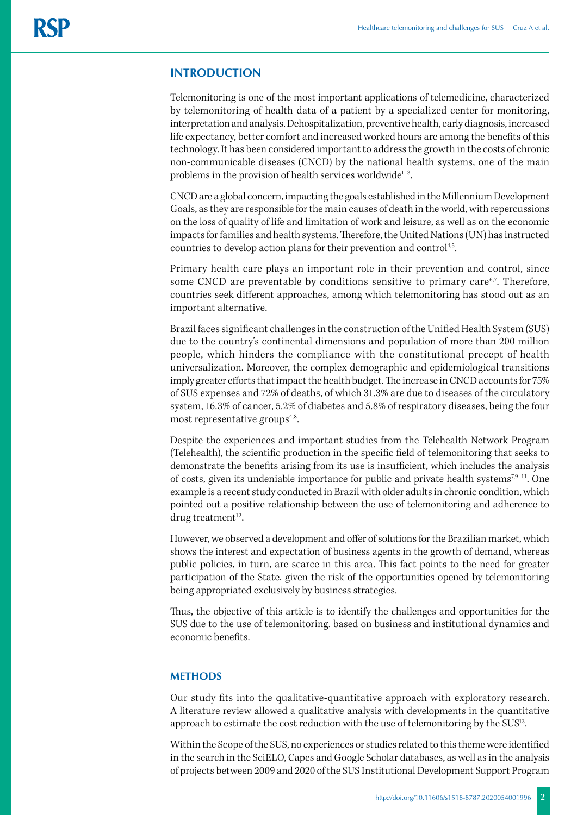## **INTRODUCTION**

Telemonitoring is one of the most important applications of telemedicine, characterized by telemonitoring of health data of a patient by a specialized center for monitoring, interpretation and analysis. Dehospitalization, preventive health, early diagnosis, increased life expectancy, better comfort and increased worked hours are among the benefits of this technology. It has been considered important to address the growth in the costs of chronic non-communicable diseases (CNCD) by the national health systems, one of the main problems in the provision of health services worldwide<sup>1-3</sup>.

CNCD are a global concern, impacting the goals established in the Millennium Development Goals, as they are responsible for the main causes of death in the world, with repercussions on the loss of quality of life and limitation of work and leisure, as well as on the economic impacts for families and health systems. Therefore, the United Nations (UN) has instructed countries to develop action plans for their prevention and control<sup>4,5</sup>.

Primary health care plays an important role in their prevention and control, since some CNCD are preventable by conditions sensitive to primary care<sup>6,7</sup>. Therefore, countries seek different approaches, among which telemonitoring has stood out as an important alternative.

Brazil faces significant challenges in the construction of the Unified Health System (SUS) due to the country's continental dimensions and population of more than 200 million people, which hinders the compliance with the constitutional precept of health universalization. Moreover, the complex demographic and epidemiological transitions imply greater efforts that impact the health budget. The increase in CNCD accounts for 75% of SUS expenses and 72% of deaths, of which 31.3% are due to diseases of the circulatory system, 16.3% of cancer, 5.2% of diabetes and 5.8% of respiratory diseases, being the four most representative groups $4,8$ .

Despite the experiences and important studies from the Telehealth Network Program (Telehealth), the scientific production in the specific field of telemonitoring that seeks to demonstrate the benefits arising from its use is insufficient, which includes the analysis of costs, given its undeniable importance for public and private health systems<sup>7,9-11</sup>. One example is a recent study conducted in Brazil with older adults in chronic condition, which pointed out a positive relationship between the use of telemonitoring and adherence to drug treatment<sup>12</sup>.

However, we observed a development and offer of solutions for the Brazilian market, which shows the interest and expectation of business agents in the growth of demand, whereas public policies, in turn, are scarce in this area. This fact points to the need for greater participation of the State, given the risk of the opportunities opened by telemonitoring being appropriated exclusively by business strategies.

Thus, the objective of this article is to identify the challenges and opportunities for the SUS due to the use of telemonitoring, based on business and institutional dynamics and economic benefits.

## **METHODS**

Our study fits into the qualitative-quantitative approach with exploratory research. A literature review allowed a qualitative analysis with developments in the quantitative approach to estimate the cost reduction with the use of telemonitoring by the SUS<sup>13</sup>.

Within the Scope of the SUS, no experiences or studies related to this theme were identified in the search in the SciELO, Capes and Google Scholar databases, as well as in the analysis of projects between 2009 and 2020 of the SUS Institutional Development Support Program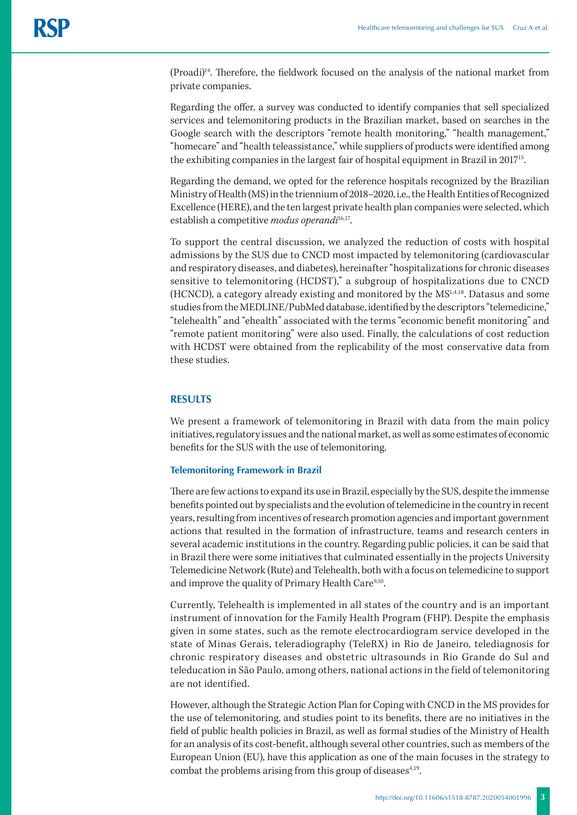$(Proof<sup>14</sup>)$ . Therefore, the fieldwork focused on the analysis of the national market from private companies.

Regarding the offer, a survey was conducted to identify companies that sell specialized services and telemonitoring products in the Brazilian market, based on searches in the Google search with the descriptors "remote health monitoring," "health management," "homecare" and "health teleassistance," while suppliers of products were identified among the exhibiting companies in the largest fair of hospital equipment in Brazil in 2017<sup>15</sup>.

Regarding the demand, we opted for the reference hospitals recognized by the Brazilian Ministry of Health (MS) in the triennium of 2018–2020, i.e., the Health Entities of Recognized Excellence (HERE), and the ten largest private health plan companies were selected, which establish a competitive *modus operandi*<sup>16,17</sup>.

To support the central discussion, we analyzed the reduction of costs with hospital admissions by the SUS due to CNCD most impacted by telemonitoring (cardiovascular and respiratory diseases, and diabetes), hereinafter "hospitalizations for chronic diseases sensitive to telemonitoring (HCDST)," a subgroup of hospitalizations due to CNCD (HCNCD), a category already existing and monitored by the MS1,4,18. Datasus and some studies from the MEDLINE/PubMed database, identified by the descriptors "telemedicine," "telehealth" and "ehealth" associated with the terms "economic benefit monitoring" and "remote patient monitoring" were also used. Finally, the calculations of cost reduction with HCDST were obtained from the replicability of the most conservative data from these studies.

### **RESULTS**

We present a framework of telemonitoring in Brazil with data from the main policy initiatives, regulatory issues and the national market, as well as some estimates of economic benefits for the SUS with the use of telemonitoring.

## **Telemonitoring Framework in Brazil**

There are few actions to expand its use in Brazil, especially by the SUS, despite the immense benefits pointed out by specialists and the evolution of telemedicine in the country in recent years, resulting from incentives of research promotion agencies and important government actions that resulted in the formation of infrastructure, teams and research centers in several academic institutions in the country. Regarding public policies, it can be said that in Brazil there were some initiatives that culminated essentially in the projects University Telemedicine Network (Rute) and Telehealth, both with a focus on telemedicine to support and improve the quality of Primary Health Care<sup>9,10</sup>.

Currently, Telehealth is implemented in all states of the country and is an important instrument of innovation for the Family Health Program (FHP). Despite the emphasis given in some states, such as the remote electrocardiogram service developed in the state of Minas Gerais, teleradiography (TeleRX) in Rio de Janeiro, telediagnosis for chronic respiratory diseases and obstetric ultrasounds in Rio Grande do Sul and teleducation in São Paulo, among others, national actions in the field of telemonitoring are not identified.

However, although the Strategic Action Plan for Coping with CNCD in the MS provides for the use of telemonitoring, and studies point to its benefits, there are no initiatives in the field of public health policies in Brazil, as well as formal studies of the Ministry of Health for an analysis of its cost-benefit, although several other countries, such as members of the European Union (EU), have this application as one of the main focuses in the strategy to combat the problems arising from this group of diseases<sup>4,19</sup>.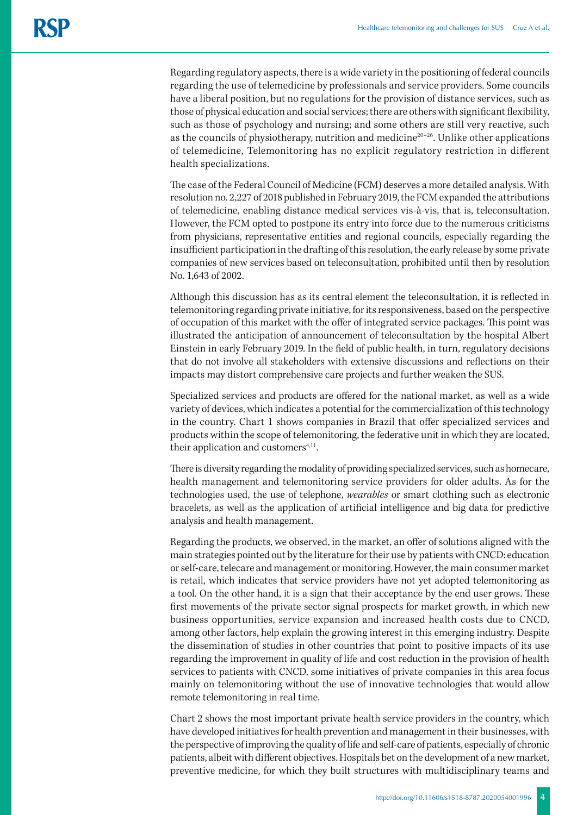Regarding regulatory aspects, there is a wide variety in the positioning of federal councils regarding the use of telemedicine by professionals and service providers. Some councils have a liberal position, but no regulations for the provision of distance services, such as those of physical education and social services; there are others with significant flexibility, such as those of psychology and nursing; and some others are still very reactive, such as the councils of physiotherapy, nutrition and medicine $20-26$ . Unlike other applications of telemedicine, Telemonitoring has no explicit regulatory restriction in different health specializations.

The case of the Federal Council of Medicine (FCM) deserves a more detailed analysis. With resolution no. 2,227 of 2018 published in February 2019, the FCM expanded the attributions of telemedicine, enabling distance medical services vis-à-vis, that is, teleconsultation. However, the FCM opted to postpone its entry into force due to the numerous criticisms from physicians, representative entities and regional councils, especially regarding the insufficient participation in the drafting of this resolution, the early release by some private companies of new services based on teleconsultation, prohibited until then by resolution No. 1,643 of 2002.

Although this discussion has as its central element the teleconsultation, it is reflected in telemonitoring regarding private initiative, for its responsiveness, based on the perspective of occupation of this market with the offer of integrated service packages. This point was illustrated the anticipation of announcement of teleconsultation by the hospital Albert Einstein in early February 2019. In the field of public health, in turn, regulatory decisions that do not involve all stakeholders with extensive discussions and reflections on their impacts may distort comprehensive care projects and further weaken the SUS.

Specialized services and products are offered for the national market, as well as a wide variety of devices, which indicates a potential for the commercialization of this technology in the country. Chart 1 shows companies in Brazil that offer specialized services and products within the scope of telemonitoring, the federative unit in which they are located, their application and customers<sup>4,11</sup>.

There is diversity regarding the modality of providing specialized services, such as homecare, health management and telemonitoring service providers for older adults. As for the technologies used, the use of telephone, *wearables* or smart clothing such as electronic bracelets, as well as the application of artificial intelligence and big data for predictive analysis and health management.

Regarding the products, we observed, in the market, an offer of solutions aligned with the main strategies pointed out by the literature for their use by patients with CNCD: education or self-care, telecare and management or monitoring. However, the main consumer market is retail, which indicates that service providers have not yet adopted telemonitoring as a tool. On the other hand, it is a sign that their acceptance by the end user grows. These first movements of the private sector signal prospects for market growth, in which new business opportunities, service expansion and increased health costs due to CNCD, among other factors, help explain the growing interest in this emerging industry. Despite the dissemination of studies in other countries that point to positive impacts of its use regarding the improvement in quality of life and cost reduction in the provision of health services to patients with CNCD, some initiatives of private companies in this area focus mainly on telemonitoring without the use of innovative technologies that would allow remote telemonitoring in real time.

Chart 2 shows the most important private health service providers in the country, which have developed initiatives for health prevention and management in their businesses, with the perspective of improving the quality of life and self-care of patients, especially of chronic patients, albeit with different objectives. Hospitals bet on the development of a new market, preventive medicine, for which they built structures with multidisciplinary teams and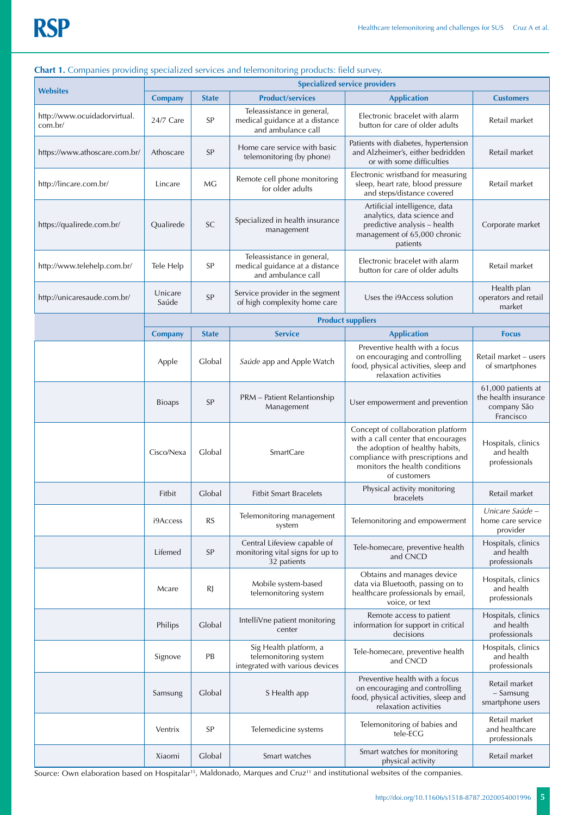# **Chart 1.** Companies providing specialized services and telemonitoring products: field survey.

|                                         | <b>Specialized service providers</b> |                                                      |                                                                                    |                                                                                                                                                                                                   |                                                                        |  |
|-----------------------------------------|--------------------------------------|------------------------------------------------------|------------------------------------------------------------------------------------|---------------------------------------------------------------------------------------------------------------------------------------------------------------------------------------------------|------------------------------------------------------------------------|--|
| <b>Websites</b>                         | <b>Company</b>                       | <b>State</b>                                         | <b>Product/services</b>                                                            | <b>Application</b>                                                                                                                                                                                | <b>Customers</b>                                                       |  |
| http://www.ocuidadorvirtual.<br>com.br/ | 24/7 Care                            | <b>SP</b>                                            | Teleassistance in general,<br>medical guidance at a distance<br>and ambulance call | Electronic bracelet with alarm<br>button for care of older adults                                                                                                                                 | Retail market                                                          |  |
| https://www.athoscare.com.br/           | Athoscare                            | <b>SP</b>                                            | Home care service with basic<br>telemonitoring (by phone)                          | Patients with diabetes, hypertension<br>and Alzheimer's, either bedridden<br>or with some difficulties                                                                                            | Retail market                                                          |  |
| http://lincare.com.br/                  | Lincare                              | МG                                                   | Remote cell phone monitoring<br>for older adults                                   | Electronic wristband for measuring<br>sleep, heart rate, blood pressure<br>and steps/distance covered                                                                                             | Retail market                                                          |  |
| https://qualirede.com.br/               | Qualirede                            | SC                                                   | Specialized in health insurance<br>management                                      | Artificial intelligence, data<br>analytics, data science and<br>predictive analysis - health<br>management of 65,000 chronic<br>patients                                                          | Corporate market                                                       |  |
| http://www.telehelp.com.br/             | Tele Help                            | SP                                                   | Teleassistance in general,<br>medical guidance at a distance<br>and ambulance call | Electronic bracelet with alarm<br>button for care of older adults                                                                                                                                 | Retail market                                                          |  |
| http://unicaresaude.com.br/             | Unicare<br>Saúde                     | SP                                                   | Service provider in the segment<br>of high complexity home care                    | Uses the i9Access solution                                                                                                                                                                        | Health plan<br>operators and retail<br>market                          |  |
|                                         | <b>Product suppliers</b>             |                                                      |                                                                                    |                                                                                                                                                                                                   |                                                                        |  |
|                                         | <b>Company</b>                       | <b>Service</b><br><b>Application</b><br><b>State</b> |                                                                                    |                                                                                                                                                                                                   | <b>Focus</b>                                                           |  |
|                                         | Apple                                | Global                                               | Saúde app and Apple Watch                                                          | Preventive health with a focus<br>on encouraging and controlling<br>food, physical activities, sleep and<br>relaxation activities                                                                 | Retail market – users<br>of smartphones                                |  |
|                                         | <b>Bioaps</b>                        | <b>SP</b>                                            | PRM - Patient Relantionship<br>Management                                          | User empowerment and prevention                                                                                                                                                                   | 61,000 patients at<br>the health insurance<br>company São<br>Francisco |  |
|                                         | Cisco/Nexa                           | Global                                               | <b>SmartCare</b>                                                                   | Concept of collaboration platform<br>with a call center that encourages<br>the adoption of healthy habits,<br>compliance with prescriptions and<br>monitors the health conditions<br>of customers | Hospitals, clinics<br>and health<br>professionals                      |  |
|                                         | Fitbit                               | Global                                               | <b>Fitbit Smart Bracelets</b>                                                      | Physical activity monitoring<br>bracelets                                                                                                                                                         | Retail market                                                          |  |
|                                         | i9Access                             | <b>RS</b>                                            | Telemonitoring management<br>system                                                | Telemonitoring and empowerment                                                                                                                                                                    | Unicare Saúde -<br>home care service<br>provider                       |  |
|                                         | Lifemed                              | SP                                                   | Central Lifeview capable of<br>monitoring vital signs for up to<br>32 patients     | Tele-homecare, preventive health<br>and CNCD                                                                                                                                                      | Hospitals, clinics<br>and health<br>professionals                      |  |
|                                         | Mcare                                | RJ                                                   | Mobile system-based<br>telemonitoring system                                       | Obtains and manages device<br>data via Bluetooth, passing on to<br>healthcare professionals by email,<br>voice, or text                                                                           | Hospitals, clinics<br>and health<br>professionals                      |  |
|                                         | Philips                              | Global                                               | IntelliVne patient monitoring<br>center                                            | Remote access to patient<br>information for support in critical<br>decisions                                                                                                                      | Hospitals, clinics<br>and health<br>professionals                      |  |
|                                         | Signove                              | PB                                                   | Sig Health platform, a<br>telemonitoring system<br>integrated with various devices | Tele-homecare, preventive health<br>and CNCD                                                                                                                                                      | Hospitals, clinics<br>and health<br>professionals                      |  |
|                                         | Samsung                              | Global                                               | S Health app                                                                       | Preventive health with a focus<br>on encouraging and controlling<br>food, physical activities, sleep and<br>relaxation activities                                                                 | Retail market<br>- Samsung<br>smartphone users                         |  |
|                                         | Ventrix                              | SP                                                   | Telemedicine systems                                                               | Telemonitoring of babies and<br>tele-ECG                                                                                                                                                          | Retail market<br>and healthcare<br>professionals                       |  |
|                                         | Xiaomi                               | Global                                               | Smart watches                                                                      | Smart watches for monitoring<br>physical activity                                                                                                                                                 | Retail market                                                          |  |

Source: Own elaboration based on Hospitalar<sup>15</sup>, Maldonado, Marques and Cruz<sup>11</sup> and institutional websites of the companies.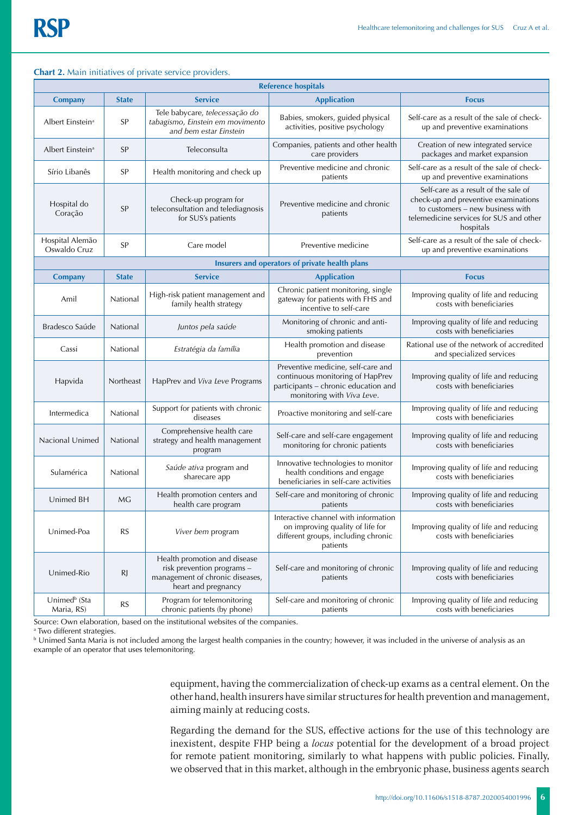#### **Chart 2.** Main initiatives of private service providers.

| <b>Reference hospitals</b>                     |              |                                                                                                                      |                                                                                                                                              |                                                                                                                                                                          |  |  |  |  |
|------------------------------------------------|--------------|----------------------------------------------------------------------------------------------------------------------|----------------------------------------------------------------------------------------------------------------------------------------------|--------------------------------------------------------------------------------------------------------------------------------------------------------------------------|--|--|--|--|
| <b>Company</b>                                 | <b>State</b> | <b>Service</b>                                                                                                       | <b>Application</b>                                                                                                                           | <b>Focus</b>                                                                                                                                                             |  |  |  |  |
| Albert Einstein <sup>a</sup>                   | SP           | Tele babycare, telecessação do<br>tabagismo, Einstein em movimento<br>and bem estar Einstein                         | Babies, smokers, guided physical<br>activities, positive psychology                                                                          | Self-care as a result of the sale of check-<br>up and preventive examinations                                                                                            |  |  |  |  |
| Albert Einstein <sup>a</sup>                   | <b>SP</b>    | Teleconsulta                                                                                                         | Companies, patients and other health<br>care providers                                                                                       | Creation of new integrated service<br>packages and market expansion                                                                                                      |  |  |  |  |
| Sírio Libanês                                  | SP           | Health monitoring and check up                                                                                       | Preventive medicine and chronic<br>patients                                                                                                  | Self-care as a result of the sale of check-<br>up and preventive examinations                                                                                            |  |  |  |  |
| Hospital do<br>Coração                         | <b>SP</b>    | Check-up program for<br>teleconsultation and telediagnosis<br>for SUS's patients                                     | Preventive medicine and chronic<br>patients                                                                                                  | Self-care as a result of the sale of<br>check-up and preventive examinations<br>to customers - new business with<br>telemedicine services for SUS and other<br>hospitals |  |  |  |  |
| Hospital Alemão<br>Oswaldo Cruz                | <b>SP</b>    | Care model                                                                                                           | Preventive medicine                                                                                                                          | Self-care as a result of the sale of check-<br>up and preventive examinations                                                                                            |  |  |  |  |
| Insurers and operators of private health plans |              |                                                                                                                      |                                                                                                                                              |                                                                                                                                                                          |  |  |  |  |
| <b>Company</b>                                 | <b>State</b> | <b>Service</b>                                                                                                       | <b>Application</b>                                                                                                                           | <b>Focus</b>                                                                                                                                                             |  |  |  |  |
| Amil                                           | National     | High-risk patient management and<br>family health strategy                                                           | Chronic patient monitoring, single<br>gateway for patients with FHS and<br>incentive to self-care                                            | Improving quality of life and reducing<br>costs with beneficiaries                                                                                                       |  |  |  |  |
| Bradesco Saúde                                 | National     | Juntos pela saúde                                                                                                    | Monitoring of chronic and anti-<br>smoking patients                                                                                          | Improving quality of life and reducing<br>costs with beneficiaries                                                                                                       |  |  |  |  |
| Cassi                                          | National     | Estratégia da família                                                                                                | Health promotion and disease<br>prevention                                                                                                   | Rational use of the network of accredited<br>and specialized services                                                                                                    |  |  |  |  |
| Hapvida                                        | Northeast    | HapPrev and Viva Leve Programs                                                                                       | Preventive medicine, self-care and<br>continuous monitoring of HapPrev<br>participants - chronic education and<br>monitoring with Viva Leve. | Improving quality of life and reducing<br>costs with beneficiaries                                                                                                       |  |  |  |  |
| Intermedica                                    | National     | Support for patients with chronic<br>diseases                                                                        | Proactive monitoring and self-care                                                                                                           | Improving quality of life and reducing<br>costs with beneficiaries                                                                                                       |  |  |  |  |
| Nacional Unimed                                | National     | Comprehensive health care<br>strategy and health management<br>program                                               | Self-care and self-care engagement<br>monitoring for chronic patients                                                                        | Improving quality of life and reducing<br>costs with beneficiaries                                                                                                       |  |  |  |  |
| Sulamérica                                     | National     | Saúde ativa program and<br>sharecare app                                                                             | Innovative technologies to monitor<br>health conditions and engage<br>beneficiaries in self-care activities                                  | Improving quality of life and reducing<br>costs with beneficiaries                                                                                                       |  |  |  |  |
| Unimed BH                                      | <b>MG</b>    | Health promotion centers and<br>health care program                                                                  | Self-care and monitoring of chronic<br>patients                                                                                              | Improving quality of life and reducing<br>costs with beneficiaries                                                                                                       |  |  |  |  |
| Unimed-Poa                                     | <b>RS</b>    | Viver bem program                                                                                                    | Interactive channel with information<br>on improving quality of life for<br>different groups, including chronic<br>patients                  | Improving quality of life and reducing<br>costs with beneficiaries                                                                                                       |  |  |  |  |
| Unimed-Rio                                     | RJ           | Health promotion and disease<br>risk prevention programs -<br>management of chronic diseases,<br>heart and pregnancy | Self-care and monitoring of chronic<br>patients                                                                                              | Improving quality of life and reducing<br>costs with beneficiaries                                                                                                       |  |  |  |  |
| Unimed <sup>b</sup> (Sta<br>Maria, RS)         | <b>RS</b>    | Program for telemonitoring<br>chronic patients (by phone)                                                            | Self-care and monitoring of chronic<br>patients                                                                                              | Improving quality of life and reducing<br>costs with beneficiaries                                                                                                       |  |  |  |  |

Source: Own elaboration, based on the institutional websites of the companies.

a Two different strategies.

 $^{\rm b}$  Unimed Santa Maria is not included among the largest health companies in the country; however, it was included in the universe of analysis as an example of an operator that uses telemonitoring.

> equipment, having the commercialization of check-up exams as a central element. On the other hand, health insurers have similar structures for health prevention and management, aiming mainly at reducing costs.

> Regarding the demand for the SUS, effective actions for the use of this technology are inexistent, despite FHP being a *locus* potential for the development of a broad project for remote patient monitoring, similarly to what happens with public policies. Finally, we observed that in this market, although in the embryonic phase, business agents search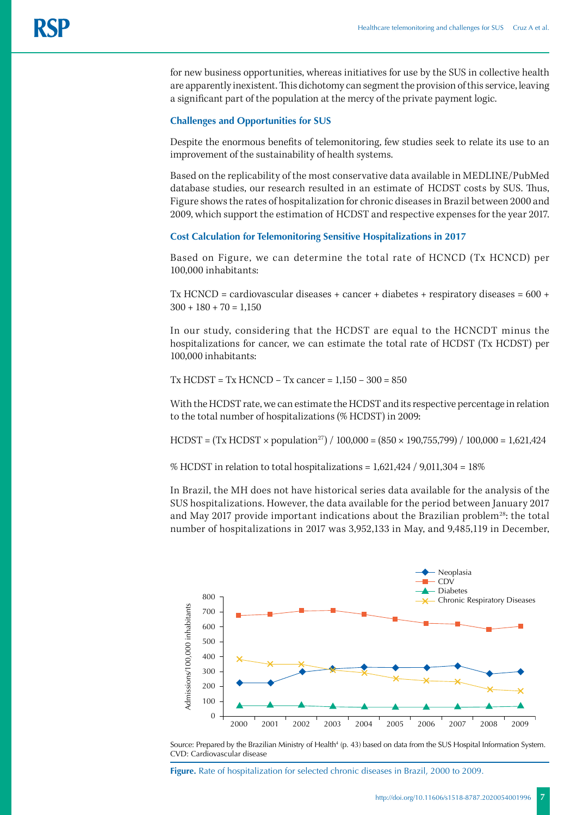for new business opportunities, whereas initiatives for use by the SUS in collective health are apparently inexistent. This dichotomy can segment the provision of this service, leaving a significant part of the population at the mercy of the private payment logic.

#### **Challenges and Opportunities for SUS**

Despite the enormous benefits of telemonitoring, few studies seek to relate its use to an improvement of the sustainability of health systems.

Based on the replicability of the most conservative data available in MEDLINE/PubMed database studies, our research resulted in an estimate of HCDST costs by SUS. Thus, Figure shows the rates of hospitalization for chronic diseases in Brazil between 2000 and 2009, which support the estimation of HCDST and respective expenses for the year 2017.

#### **Cost Calculation for Telemonitoring Sensitive Hospitalizations in 2017**

Based on Figure, we can determine the total rate of HCNCD (Tx HCNCD) per 100,000 inhabitants:

Tx HCNCD = cardiovascular diseases + cancer + diabetes + respiratory diseases = 600 +  $300 + 180 + 70 = 1,150$ 

In our study, considering that the HCDST are equal to the HCNCDT minus the hospitalizations for cancer, we can estimate the total rate of HCDST (Tx HCDST) per 100,000 inhabitants:

Tx HCDST = Tx HCNCD − Tx cancer = 1,150 − 300 = 850

With the HCDST rate, we can estimate the HCDST and its respective percentage in relation to the total number of hospitalizations (% HCDST) in 2009:

 $HCDST = (Tx HCDST \times population^{27}) / 100,000 = (850 \times 190,755,799) / 100,000 = 1,621,424$ 

% HCDST in relation to total hospitalizations = 1,621,424 / 9,011,304 = 18%

In Brazil, the MH does not have historical series data available for the analysis of the SUS hospitalizations. However, the data available for the period between January 2017 and May 2017 provide important indications about the Brazilian problem28: the total number of hospitalizations in 2017 was 3,952,133 in May, and 9,485,119 in December,



Source: Prepared by the Brazilian Ministry of Health<sup>4</sup> (p. 43) based on data from the SUS Hospital Information System. CVD: Cardiovascular disease

**Figure.** Rate of hospitalization for selected chronic diseases in Brazil, 2000 to 2009.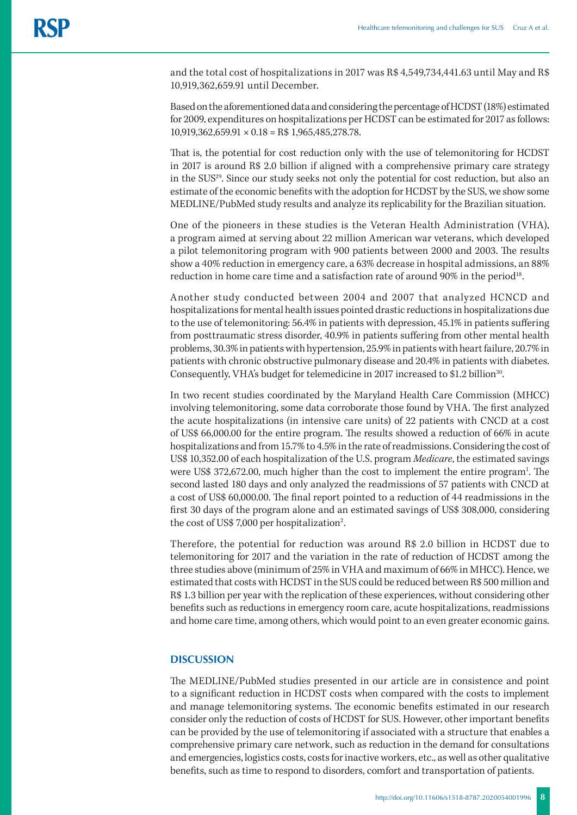and the total cost of hospitalizations in 2017 was R\$ 4,549,734,441.63 until May and R\$ 10,919,362,659.91 until December.

Based on the aforementioned data and considering the percentage of HCDST (18%) estimated for 2009, expenditures on hospitalizations per HCDST can be estimated for 2017 as follows:  $10,919,362,659.91 \times 0.18 =$ R\$ 1,965,485,278.78.

That is, the potential for cost reduction only with the use of telemonitoring for HCDST in 2017 is around R\$ 2.0 billion if aligned with a comprehensive primary care strategy in the SUS29. Since our study seeks not only the potential for cost reduction, but also an estimate of the economic benefits with the adoption for HCDST by the SUS, we show some MEDLINE/PubMed study results and analyze its replicability for the Brazilian situation.

One of the pioneers in these studies is the Veteran Health Administration (VHA), a program aimed at serving about 22 million American war veterans, which developed a pilot telemonitoring program with 900 patients between 2000 and 2003. The results show a 40% reduction in emergency care, a 63% decrease in hospital admissions, an 88% reduction in home care time and a satisfaction rate of around 90% in the period<sup>18</sup>.

Another study conducted between 2004 and 2007 that analyzed HCNCD and hospitalizations for mental health issues pointed drastic reductions in hospitalizations due to the use of telemonitoring: 56.4% in patients with depression, 45.1% in patients suffering from posttraumatic stress disorder, 40.9% in patients suffering from other mental health problems, 30.3% in patients with hypertension, 25.9% in patients with heart failure, 20.7% in patients with chronic obstructive pulmonary disease and 20.4% in patients with diabetes. Consequently, VHA's budget for telemedicine in 2017 increased to \$1.2 billion<sup>30</sup>.

In two recent studies coordinated by the Maryland Health Care Commission (MHCC) involving telemonitoring, some data corroborate those found by VHA. The first analyzed the acute hospitalizations (in intensive care units) of 22 patients with CNCD at a cost of US\$ 66,000.00 for the entire program. The results showed a reduction of 66% in acute hospitalizations and from 15.7% to 4.5% in the rate of readmissions. Considering the cost of US\$ 10,352.00 of each hospitalization of the U.S. program *Medicare*, the estimated savings were US\$ 372,672.00, much higher than the cost to implement the entire program<sup>1</sup>. The second lasted 180 days and only analyzed the readmissions of 57 patients with CNCD at a cost of US\$ 60,000.00. The final report pointed to a reduction of 44 readmissions in the first 30 days of the program alone and an estimated savings of US\$ 308,000, considering the cost of US\$ 7,000 per hospitalization<sup>2</sup>. .

Therefore, the potential for reduction was around R\$ 2.0 billion in HCDST due to telemonitoring for 2017 and the variation in the rate of reduction of HCDST among the three studies above (minimum of 25% in VHA and maximum of 66% in MHCC). Hence, we estimated that costs with HCDST in the SUS could be reduced between R\$ 500 million and R\$ 1.3 billion per year with the replication of these experiences, without considering other benefits such as reductions in emergency room care, acute hospitalizations, readmissions and home care time, among others, which would point to an even greater economic gains.

## **DISCUSSION**

The MEDLINE/PubMed studies presented in our article are in consistence and point to a significant reduction in HCDST costs when compared with the costs to implement and manage telemonitoring systems. The economic benefits estimated in our research consider only the reduction of costs of HCDST for SUS. However, other important benefits can be provided by the use of telemonitoring if associated with a structure that enables a comprehensive primary care network, such as reduction in the demand for consultations and emergencies, logistics costs, costs for inactive workers, etc., as well as other qualitative benefits, such as time to respond to disorders, comfort and transportation of patients.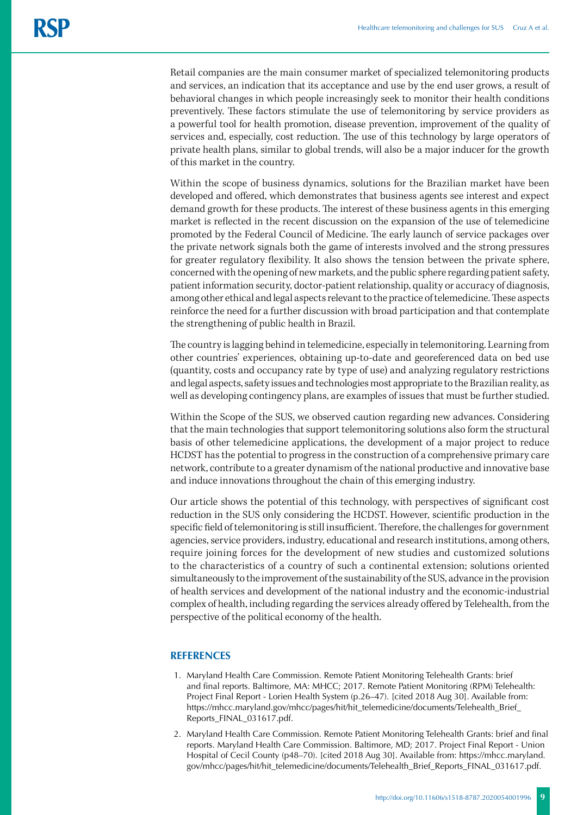Retail companies are the main consumer market of specialized telemonitoring products and services, an indication that its acceptance and use by the end user grows, a result of behavioral changes in which people increasingly seek to monitor their health conditions preventively. These factors stimulate the use of telemonitoring by service providers as a powerful tool for health promotion, disease prevention, improvement of the quality of services and, especially, cost reduction. The use of this technology by large operators of private health plans, similar to global trends, will also be a major inducer for the growth of this market in the country.

Within the scope of business dynamics, solutions for the Brazilian market have been developed and offered, which demonstrates that business agents see interest and expect demand growth for these products. The interest of these business agents in this emerging market is reflected in the recent discussion on the expansion of the use of telemedicine promoted by the Federal Council of Medicine. The early launch of service packages over the private network signals both the game of interests involved and the strong pressures for greater regulatory flexibility. It also shows the tension between the private sphere, concerned with the opening of new markets, and the public sphere regarding patient safety, patient information security, doctor-patient relationship, quality or accuracy of diagnosis, among other ethical and legal aspects relevant to the practice of telemedicine. These aspects reinforce the need for a further discussion with broad participation and that contemplate the strengthening of public health in Brazil.

The country is lagging behind in telemedicine, especially in telemonitoring. Learning from other countries' experiences, obtaining up-to-date and georeferenced data on bed use (quantity, costs and occupancy rate by type of use) and analyzing regulatory restrictions and legal aspects, safety issues and technologies most appropriate to the Brazilian reality, as well as developing contingency plans, are examples of issues that must be further studied.

Within the Scope of the SUS, we observed caution regarding new advances. Considering that the main technologies that support telemonitoring solutions also form the structural basis of other telemedicine applications, the development of a major project to reduce HCDST has the potential to progress in the construction of a comprehensive primary care network, contribute to a greater dynamism of the national productive and innovative base and induce innovations throughout the chain of this emerging industry.

Our article shows the potential of this technology, with perspectives of significant cost reduction in the SUS only considering the HCDST. However, scientific production in the specific field of telemonitoring is still insufficient. Therefore, the challenges for government agencies, service providers, industry, educational and research institutions, among others, require joining forces for the development of new studies and customized solutions to the characteristics of a country of such a continental extension; solutions oriented simultaneously to the improvement of the sustainability of the SUS, advance in the provision of health services and development of the national industry and the economic-industrial complex of health, including regarding the services already offered by Telehealth, from the perspective of the political economy of the health.

## **REFERENCES**

- 1. Maryland Health Care Commission. Remote Patient Monitoring Telehealth Grants: brief and final reports. Baltimore, MA: MHCC; 2017. Remote Patient Monitoring (RPM) Telehealth: Project Final Report - Lorien Health System (p.26–47). [cited 2018 Aug 30]. Available from: [https://mhcc.maryland.gov/mhcc/pages/hit/hit\\_telemedicine/documents/Telehealth\\_Brief\\_](https://mhcc.maryland.gov/mhcc/pages/hit/hit_telemedicine/documents/Telehealth_Brief_Reports_FINAL_031617.pdf) [Reports\\_FINAL\\_031617.pdf](https://mhcc.maryland.gov/mhcc/pages/hit/hit_telemedicine/documents/Telehealth_Brief_Reports_FINAL_031617.pdf).
- 2. Maryland Health Care Commission. Remote Patient Monitoring Telehealth Grants: brief and final reports. Maryland Health Care Commission. Baltimore, MD; 2017. Project Final Report - Union Hospital of Cecil County (p48–70). [cited 2018 Aug 30]. Available from: [https://mhcc.maryland.](https://mhcc.maryland.gov/mhcc/pages/hit/hit_telemedicine/documents/Telehealth_Brief_Reports_FINAL_031617.pdf) [gov/mhcc/pages/hit/hit\\_telemedicine/documents/Telehealth\\_Brief\\_Reports\\_FINAL\\_031617.pdf](https://mhcc.maryland.gov/mhcc/pages/hit/hit_telemedicine/documents/Telehealth_Brief_Reports_FINAL_031617.pdf).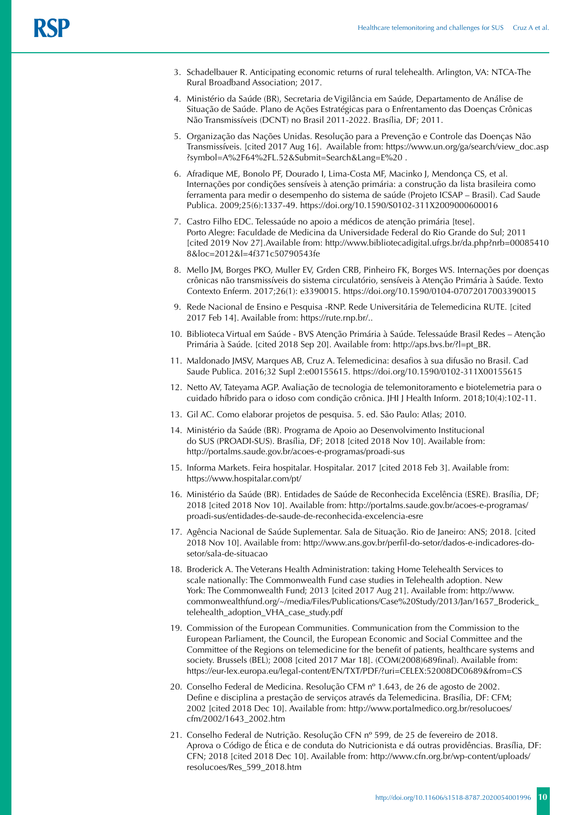- 3. Schadelbauer R. Anticipating economic returns of rural telehealth. Arlington, VA: NTCA-The Rural Broadband Association; 2017.
- 4. Ministério da Saúde (BR), Secretaria de Vigilância em Saúde, Departamento de Análise de Situação de Saúde. Plano de Ações Estratégicas para o Enfrentamento das Doenças Crônicas Não Transmissíveis (DCNT) no Brasil 2011-2022. Brasília, DF; 2011.
- 5. Organização das Nações Unidas. Resolução para a Prevenção e Controle das Doenças Não Transmissíveis. [cited 2017 Aug 16]. Available from: [https://www.un.org/ga/search/view\\_doc.asp](https://www.un.org/ga/search/view_doc.asp?symbol=A%2F64%2FL.52&Submit=Search&Lang=E ) [?symbol=A%2F64%2FL.52&Submit=Search&Lang=E%20](https://www.un.org/ga/search/view_doc.asp?symbol=A%2F64%2FL.52&Submit=Search&Lang=E ) .
- 6. Afradique ME, Bonolo PF, Dourado I, Lima-Costa MF, Macinko J, Mendonça CS, et al. Internações por condições sensíveis à atenção primária: a construção da lista brasileira como ferramenta para medir o desempenho do sistema de saúde (Projeto ICSAP – Brasil). Cad Saude Publica. 2009;25(6):1337-49. <https://doi.org/10.1590/S0102-311X2009000600016>
- 7. Castro Filho EDC. Telessaúde no apoio a médicos de atenção primária [tese]. Porto Alegre: Faculdade de Medicina da Universidade Federal do Rio Grande do Sul; 2011 [cited 2019 Nov 27].Available from: http://www.bibliotecadigital.ufrgs.br/da.php?nrb=00085410 8&loc=2012&l=4f371c50790543fe
- 8. Mello JM, Borges PKO, Muller EV, Grden CRB, Pinheiro FK, Borges WS. Internações por doenças crônicas não transmissíveis do sistema circulatório, sensíveis à Atenção Primária à Saúde. Texto Contexto Enferm. 2017;26(1): e3390015.<https://doi.org/10.1590/0104-07072017003390015>
- 9. Rede Nacional de Ensino e Pesquisa -RNP. Rede Universitária de Telemedicina RUTE. [cited 2017 Feb 14]. Available from: [https://rute.rnp.br/.](https://rute.rnp.br/).
- 10. Biblioteca Virtual em Saúde BVS Atenção Primária à Saúde. Telessaúde Brasil Redes Atenção Primária à Saúde. [cited 2018 Sep 20]. Available from: [http://aps.bvs.br/?l=pt\\_BR](http://aps.bvs.br/?l=pt_BR).
- 11. Maldonado JMSV, Marques AB, Cruz A. Telemedicina: desafios à sua difusão no Brasil. Cad Saude Publica. 2016;32 Supl 2:e00155615.<https://doi.org/10.1590/0102-311X00155615>
- 12. Netto AV, Tateyama AGP. Avaliação de tecnologia de telemonitoramento e biotelemetria para o cuidado híbrido para o idoso com condição crônica. JHI J Health Inform. 2018;10(4):102-11.
- 13. Gil AC. Como elaborar projetos de pesquisa. 5. ed. São Paulo: Atlas; 2010.
- 14. Ministério da Saúde (BR). Programa de Apoio ao Desenvolvimento Institucional do SUS (PROADI-SUS). Brasília, DF; 2018 [cited 2018 Nov 10]. Available from: [http://portalms.saude.gov.br/acoes-e-programas/proadi-sus](http://portalms.saude.gov.br/acoes-e-programas/proadi-sus )
- 15. Informa Markets. Feira hospitalar. Hospitalar. 2017 [cited 2018 Feb 3]. Available from: <https://www.hospitalar.com/pt/>
- 16. Ministério da Saúde (BR). Entidades de Saúde de Reconhecida Excelência (ESRE). Brasília, DF; 2018 [cited 2018 Nov 10]. Available from: [http://portalms.saude.gov.br/acoes-e-programas/](http://portalms.saude.gov.br/acoes-e-programas/proadi-sus/entidades-de-saude-de-reconhecida-excelencia-esre) [proadi-sus/entidades-de-saude-de-reconhecida-excelencia-esre](http://portalms.saude.gov.br/acoes-e-programas/proadi-sus/entidades-de-saude-de-reconhecida-excelencia-esre)
- 17. Agência Nacional de Saúde Suplementar. Sala de Situação. Rio de Janeiro: ANS; 2018. [cited 2018 Nov 10]. Available from: [http://www.ans.gov.br/perfil-do-setor/dados-e-indicadores-do](http://www.ans.gov.br/perfil-do-setor/dados-e-indicadores-do-setor/sala-de-situacao)[setor/sala-de-situacao](http://www.ans.gov.br/perfil-do-setor/dados-e-indicadores-do-setor/sala-de-situacao)
- 18. Broderick A. The Veterans Health Administration: taking Home Telehealth Services to scale nationally: The Commonwealth Fund case studies in Telehealth adoption. New York: The Commonwealth Fund; 2013 [cited 2017 Aug 21]. Available from: [http://www.](http://www.commonwealthfund.org/~/media/Files/Publications/Case Study/2013/Jan/1657_Broderick_telehealth_adoption_VHA_case_study.pdf) [commonwealthfund.org/~/media/Files/Publications/Case%20Study/2013/Jan/1657\\_Broderick\\_](http://www.commonwealthfund.org/~/media/Files/Publications/Case Study/2013/Jan/1657_Broderick_telehealth_adoption_VHA_case_study.pdf) [telehealth\\_adoption\\_VHA\\_case\\_study.pdf](http://www.commonwealthfund.org/~/media/Files/Publications/Case Study/2013/Jan/1657_Broderick_telehealth_adoption_VHA_case_study.pdf)
- 19. Commission of the European Communities. Communication from the Commission to the European Parliament, the Council, the European Economic and Social Committee and the Committee of the Regions on telemedicine for the benefit of patients, healthcare systems and society. Brussels (BEL); 2008 [cited 2017 Mar 18]. (COM(2008)689final). Available from: <https://eur-lex.europa.eu/legal-content/EN/TXT/PDF/?uri=CELEX:52008DC0689&from=CS>
- 20. Conselho Federal de Medicina. Resolução CFM nº 1.643, de 26 de agosto de 2002. Define e disciplina a prestação de serviços através da Telemedicina. Brasília, DF: CFM; 2002 [cited 2018 Dec 10]. Available from: [http://www.portalmedico.org.br/resolucoes/](http://www.portalmedico.org.br/resolucoes/cfm/2002/1643_2002.htm) [cfm/2002/1643\\_2002.htm](http://www.portalmedico.org.br/resolucoes/cfm/2002/1643_2002.htm)
- 21. Conselho Federal de Nutrição. Resolução CFN nº 599, de 25 de fevereiro de 2018. Aprova o Código de Ética e de conduta do Nutricionista e dá outras providências. Brasília, DF: CFN; 2018 [cited 2018 Dec 10]. Available from: [http://www.cfn.org.br/wp-content/uploads/](http://www.cfn.org.br/wp-content/uploads/resolucoes/Res_599_2018.htm ) [resolucoes/Res\\_599\\_2018.htm](http://www.cfn.org.br/wp-content/uploads/resolucoes/Res_599_2018.htm )